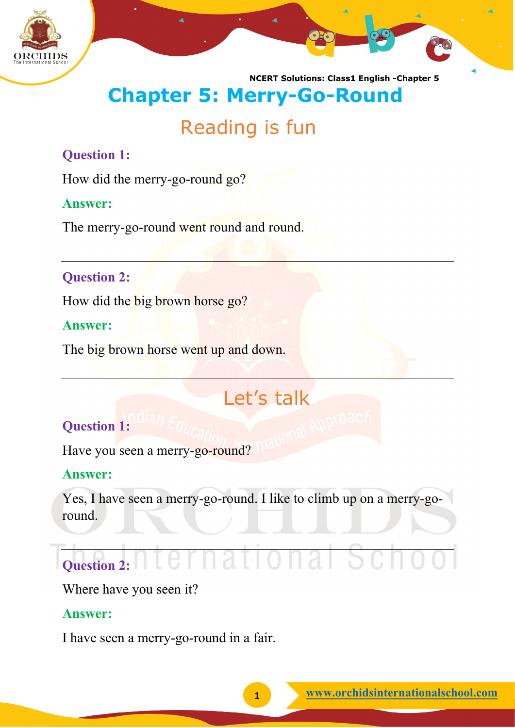

**NCERT Solutions: Class1 English -Chapter 5** 

# **Chapter 5: Merry-Go-Round**

# Reading is fun

## **Question 1:**

How did the merry-go-round go?

#### **Answer:**

The merry-go-round went round and round.

## **Question 2:**

How did the big brown horse go?

#### **Answer:**

The big brown horse went up and down.

# Let's talk

# **Question 1:**

Have you seen a merry-go-round?

## **Answer:**

Yes, I have seen a merry-go-round. I like to climb up on a merry-goround.

# **Question 2:**

Where have you seen it?

## **Answer:**

I have seen a merry-go-round in a fair.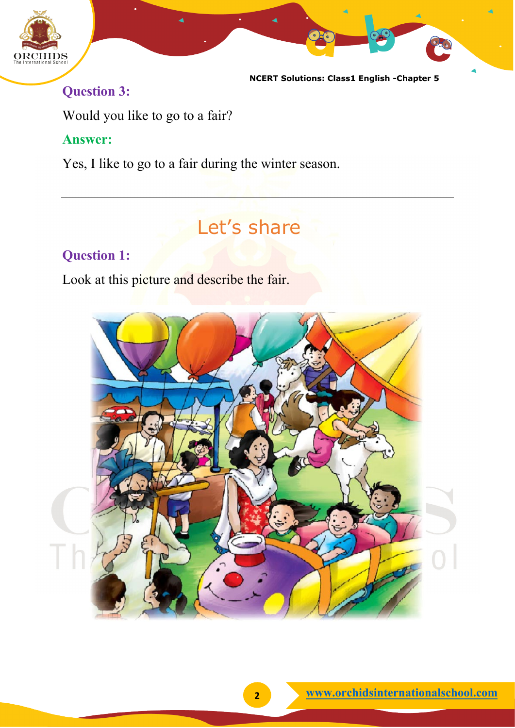

**NCERT Solutions: Class1 English -Chapter 5** 

# **Question 3:**

Would you like to go to a fair?

#### **Answer:**

Yes, I like to go to a fair during the winter season.

# Let's share

## **Question 1:**

Look at this picture and describe the fair.

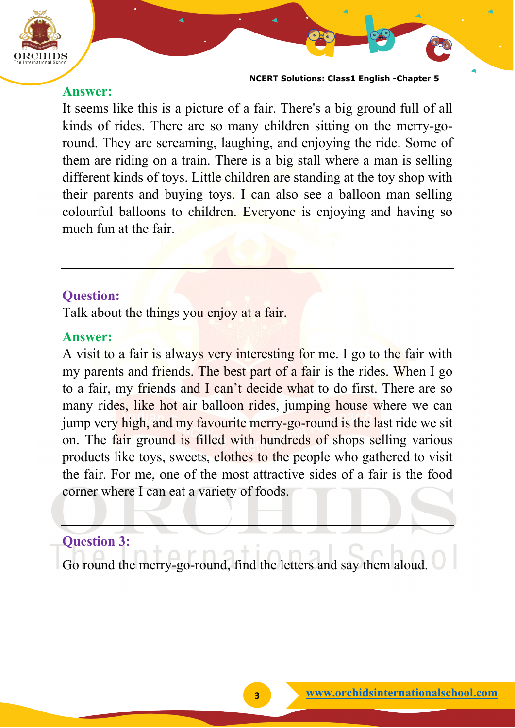

**NCERT Solutions: Class1 English -Chapter 5** 

#### **Answer:**

It seems like this is a picture of a fair. There's a big ground full of all kinds of rides. There are so many children sitting on the merry-goround. They are screaming, laughing, and enjoying the ride. Some of them are riding on a train. There is a big stall where a man is selling different kinds of toys. Little children are standing at the toy shop with their parents and buying toys. I can also see a balloon man selling colourful balloons to children. Everyone is enjoying and having so much fun at the fair.

#### **Question:**

Talk about the things you enjoy at a fair.

#### **Answer:**

A visit to a fair is always very interesting for me. I go to the fair with my parents and friends. The best part of a fair is the rides. When I go to a fair, my friends and I can't decide what to do first. There are so many rides, like hot air balloon rides, jumping house where we can jump very high, and my favourite merry-go-round is the last ride we sit on. The fair ground is filled with hundreds of shops selling various products like toys, sweets, clothes to the people who gathered to visit the fair. For me, one of the most attractive sides of a fair is the food corner where I can eat a variety of foods.

#### **Question 3:**

Go round the merry-go-round, find the letters and say them aloud.